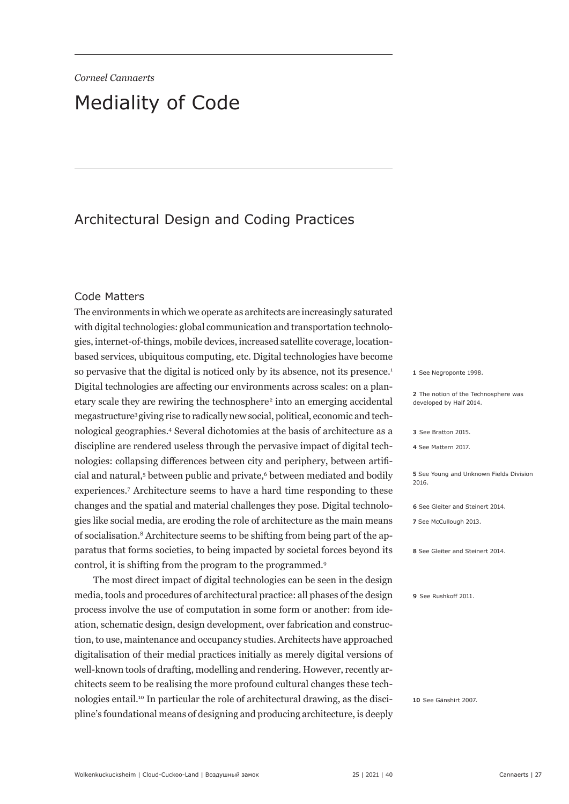# Mediality of Code

# Architectural Design and Coding Practices

#### Code Matters

The environments in which we operate as architects are increasingly saturated with digital technologies: global communication and transportation technologies, internet-of-things, mobile devices, increased satellite coverage, locationbased services, ubiquitous computing, etc. Digital technologies have become so pervasive that the digital is noticed only by its absence, not its presence.<sup>1</sup> Digital technologies are affecting our environments across scales: on a planetary scale they are rewiring the technosphere<sup>2</sup> into an emerging accidental megastructure3 giving rise to radically new social, political, economic and technological geographies.4 Several dichotomies at the basis of architecture as a discipline are rendered useless through the pervasive impact of digital technologies: collapsing differences between city and periphery, between artificial and natural,<sup>5</sup> between public and private,<sup>6</sup> between mediated and bodily experiences.7 Architecture seems to have a hard time responding to these changes and the spatial and material challenges they pose. Digital technologies like social media, are eroding the role of architecture as the main means of socialisation.8 Architecture seems to be shifting from being part of the apparatus that forms societies, to being impacted by societal forces beyond its control, it is shifting from the program to the programmed.9

The most direct impact of digital technologies can be seen in the design media, tools and procedures of architectural practice: all phases of the design process involve the use of computation in some form or another: from ideation, schematic design, design development, over fabrication and construction, to use, maintenance and occupancy studies. Architects have approached digitalisation of their medial practices initially as merely digital versions of well-known tools of drafting, modelling and rendering. However, recently architects seem to be realising the more profound cultural changes these technologies entail.10 In particular the role of architectural drawing, as the discipline's foundational means of designing and producing architecture, is deeply **1** See Negroponte 1998.

**2** The notion of the Technosphere was developed by Half 2014.

|  | 3 See Bratton 2015. |  |
|--|---------------------|--|
|  |                     |  |

**4** See Mattern 2017.

**5** See Young and Unknown Fields Division 2016.

**6** See Gleiter and Steinert 2014.

**7** See McCullough 2013.

**8** See Gleiter and Steinert 2014.

**9** See Rushkoff 2011.

**10** See Gänshirt 2007.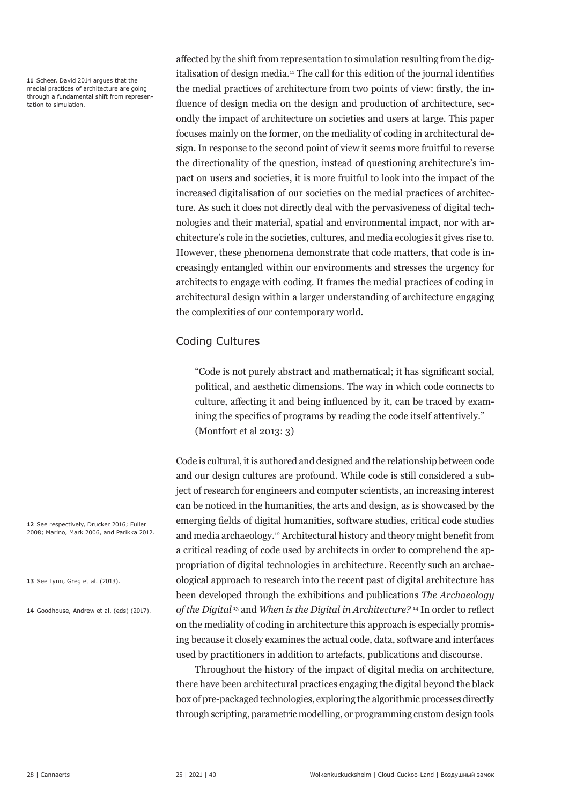**11** Scheer, David 2014 argues that the medial practices of architecture are going through a fundamental shift from representation to simulation.

affected by the shift from representation to simulation resulting from the digitalisation of design media.11 The call for this edition of the journal identifies the medial practices of architecture from two points of view: firstly, the influence of design media on the design and production of architecture, secondly the impact of architecture on societies and users at large. This paper focuses mainly on the former, on the mediality of coding in architectural design. In response to the second point of view it seems more fruitful to reverse the directionality of the question, instead of questioning architecture's impact on users and societies, it is more fruitful to look into the impact of the increased digitalisation of our societies on the medial practices of architecture. As such it does not directly deal with the pervasiveness of digital technologies and their material, spatial and environmental impact, nor with architecture's role in the societies, cultures, and media ecologies it gives rise to. However, these phenomena demonstrate that code matters, that code is increasingly entangled within our environments and stresses the urgency for architects to engage with coding. It frames the medial practices of coding in architectural design within a larger understanding of architecture engaging the complexities of our contemporary world.

# Coding Cultures

"Code is not purely abstract and mathematical; it has significant social, political, and aesthetic dimensions. The way in which code connects to culture, affecting it and being influenced by it, can be traced by examining the specifics of programs by reading the code itself attentively." (Montfort et al 2013: 3)

Code is cultural, it is authored and designed and the relationship between code and our design cultures are profound. While code is still considered a subject of research for engineers and computer scientists, an increasing interest can be noticed in the humanities, the arts and design, as is showcased by the emerging fields of digital humanities, software studies, critical code studies and media archaeology.12 Architectural history and theory might benefit from a critical reading of code used by architects in order to comprehend the appropriation of digital technologies in architecture. Recently such an archaeological approach to research into the recent past of digital architecture has been developed through the exhibitions and publications *The Archaeology of the Digital* 13 and *When is the Digital in Architecture?* <sup>14</sup> In order to reflect on the mediality of coding in architecture this approach is especially promising because it closely examines the actual code, data, software and interfaces used by practitioners in addition to artefacts, publications and discourse.

Throughout the history of the impact of digital media on architecture, there have been architectural practices engaging the digital beyond the black box of pre-packaged technologies, exploring the algorithmic processes directly through scripting, parametric modelling, or programming custom design tools

**12** See respectively, Drucker 2016; Fuller 2008; Marino, Mark 2006, and Parikka 2012.

**13** See Lynn, Greg et al. (2013).

**14** Goodhouse, Andrew et al. (eds) (2017).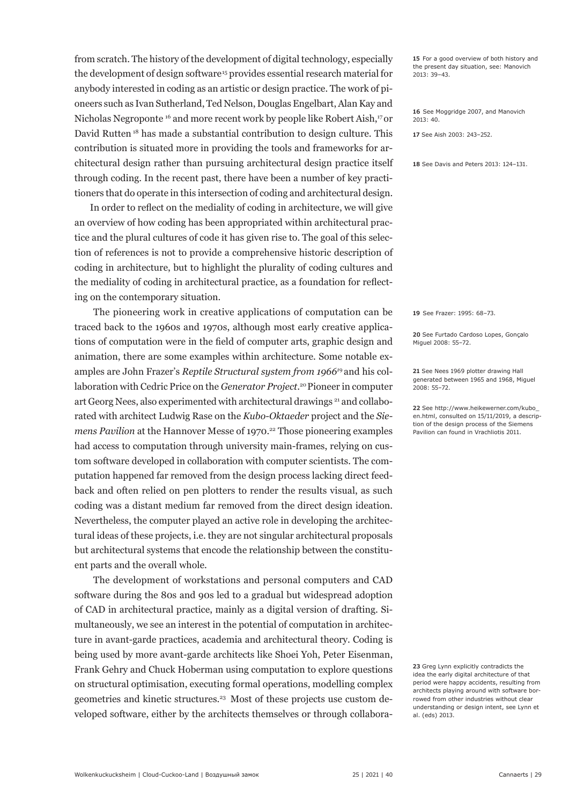from scratch. The history of the development of digital technology, especially the development of design software<sup>15</sup> provides essential research material for anybody interested in coding as an artistic or design practice. The work of pioneers such as Ivan Sutherland, Ted Nelson, Douglas Engelbart, Alan Kay and Nicholas Negroponte 16 and more recent work by people like Robert Aish,17 or David Rutten 18 has made a substantial contribution to design culture. This contribution is situated more in providing the tools and frameworks for architectural design rather than pursuing architectural design practice itself through coding. In the recent past, there have been a number of key practitioners that do operate in this intersection of coding and architectural design.

 In order to reflect on the mediality of coding in architecture, we will give an overview of how coding has been appropriated within architectural practice and the plural cultures of code it has given rise to. The goal of this selection of references is not to provide a comprehensive historic description of coding in architecture, but to highlight the plurality of coding cultures and the mediality of coding in architectural practice, as a foundation for reflecting on the contemporary situation.

The pioneering work in creative applications of computation can be traced back to the 1960s and 1970s, although most early creative applications of computation were in the field of computer arts, graphic design and animation, there are some examples within architecture. Some notable examples are John Frazer's *Reptile Structural system from 19661*9 and his collaboration with Cedric Price on the *Generator Project*. 20 Pioneer in computer art Georg Nees, also experimented with architectural drawings<sup>21</sup> and collaborated with architect Ludwig Rase on the *Kubo-Oktaeder* project and the *Siemens Pavilion* at the Hannover Messe of 1970.<sup>22</sup> Those pioneering examples had access to computation through university main-frames, relying on custom software developed in collaboration with computer scientists. The computation happened far removed from the design process lacking direct feedback and often relied on pen plotters to render the results visual, as such coding was a distant medium far removed from the direct design ideation. Nevertheless, the computer played an active role in developing the architectural ideas of these projects, i.e. they are not singular architectural proposals but architectural systems that encode the relationship between the constituent parts and the overall whole.

The development of workstations and personal computers and CAD software during the 80s and 90s led to a gradual but widespread adoption of CAD in architectural practice, mainly as a digital version of drafting. Simultaneously, we see an interest in the potential of computation in architecture in avant-garde practices, academia and architectural theory. Coding is being used by more avant-garde architects like Shoei Yoh, Peter Eisenman, Frank Gehry and Chuck Hoberman using computation to explore questions on structural optimisation, executing formal operations, modelling complex geometries and kinetic structures.23 Most of these projects use custom developed software, either by the architects themselves or through collabora**15** For a good overview of both history and the present day situation, see: Manovich 2013: 39–43.

**16** See Moggridge 2007, and Manovich 2013: 40.

**17** See Aish 2003: 243–252.

**18** See Davis and Peters 2013: 124–131.

**19** See Frazer: 1995: 68–73.

**20** See Furtado Cardoso Lopes, Gonçalo Miguel 2008: 55–72.

**21** See Nees 1969 plotter drawing Hall generated between 1965 and 1968, Miguel 2008: 55–72.

**22** See http://www.heikewerner.com/kubo\_ en.html, consulted on 15/11/2019, a description of the design process of the Siemens Pavilion can found in Vrachliotis 2011.

**23** Greg Lynn explicitly contradicts the idea the early digital architecture of that period were happy accidents, resulting from architects playing around with software borrowed from other industries without clear understanding or design intent, see Lynn et al. (eds) 2013.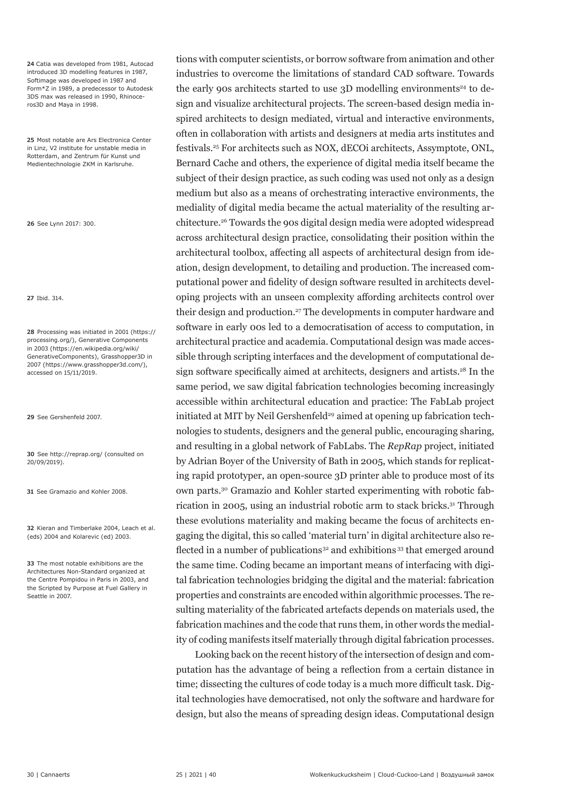**24** Catia was developed from 1981, Autocad introduced 3D modelling features in 1987, Softimage was developed in 1987 and Form\*Z in 1989, a predecessor to Autodesk 3DS max was released in 1990, Rhinoceros3D and Maya in 1998.

**25** Most notable are Ars Electronica Center in Linz, V2 institute for unstable media in Rotterdam, and Zentrum für Kunst und Medientechnologie ZKM in Karlsruhe.

**26** See Lynn 2017: 300.

**27** Ibid. 314.

**28** Processing was initiated in 2001 (https:// processing.org/), Generative Components in 2003 (https://en.wikipedia.org/wiki/ GenerativeComponents), Grasshopper3D in 2007 (https://www.grasshopper3d.com/), accessed on 15/11/2019.

**29** See Gershenfeld 2007.

**30** See http://reprap.org/ (consulted on 20/09/2019).

**31** See Gramazio and Kohler 2008.

**32** Kieran and Timberlake 2004, Leach et al. (eds) 2004 and Kolarevic (ed) 2003.

**33** The most notable exhibitions are the Architectures Non-Standard organized at the Centre Pompidou in Paris in 2003, and the Scripted by Purpose at Fuel Gallery in Seattle in 2007.

tions with computer scientists, or borrow software from animation and other industries to overcome the limitations of standard CAD software. Towards the early 90s architects started to use  $3D$  modelling environments<sup>24</sup> to design and visualize architectural projects. The screen-based design media inspired architects to design mediated, virtual and interactive environments, often in collaboration with artists and designers at media arts institutes and festivals.25 For architects such as NOX, dECOi architects, Assymptote, ONL, Bernard Cache and others, the experience of digital media itself became the subject of their design practice, as such coding was used not only as a design medium but also as a means of orchestrating interactive environments, the mediality of digital media became the actual materiality of the resulting architecture.26 Towards the 90s digital design media were adopted widespread across architectural design practice, consolidating their position within the architectural toolbox, affecting all aspects of architectural design from ideation, design development, to detailing and production. The increased computational power and fidelity of design software resulted in architects developing projects with an unseen complexity affording architects control over their design and production.<sup>27</sup> The developments in computer hardware and software in early 00s led to a democratisation of access to computation, in architectural practice and academia. Computational design was made accessible through scripting interfaces and the development of computational design software specifically aimed at architects, designers and artists.<sup>28</sup> In the same period, we saw digital fabrication technologies becoming increasingly accessible within architectural education and practice: The FabLab project initiated at MIT by Neil Gershenfeld<sup>29</sup> aimed at opening up fabrication technologies to students, designers and the general public, encouraging sharing, and resulting in a global network of FabLabs. The *RepRap* project, initiated by Adrian Boyer of the University of Bath in 2005, which stands for replicating rapid prototyper, an open-source 3D printer able to produce most of its own parts.30 Gramazio and Kohler started experimenting with robotic fabrication in 2005, using an industrial robotic arm to stack bricks.31 Through these evolutions materiality and making became the focus of architects engaging the digital, this so called 'material turn' in digital architecture also reflected in a number of publications<sup>32</sup> and exhibitions<sup>33</sup> that emerged around the same time. Coding became an important means of interfacing with digital fabrication technologies bridging the digital and the material: fabrication properties and constraints are encoded within algorithmic processes. The resulting materiality of the fabricated artefacts depends on materials used, the fabrication machines and the code that runs them, in other words the mediality of coding manifests itself materially through digital fabrication processes.

Looking back on the recent history of the intersection of design and computation has the advantage of being a reflection from a certain distance in time; dissecting the cultures of code today is a much more difficult task. Digital technologies have democratised, not only the software and hardware for design, but also the means of spreading design ideas. Computational design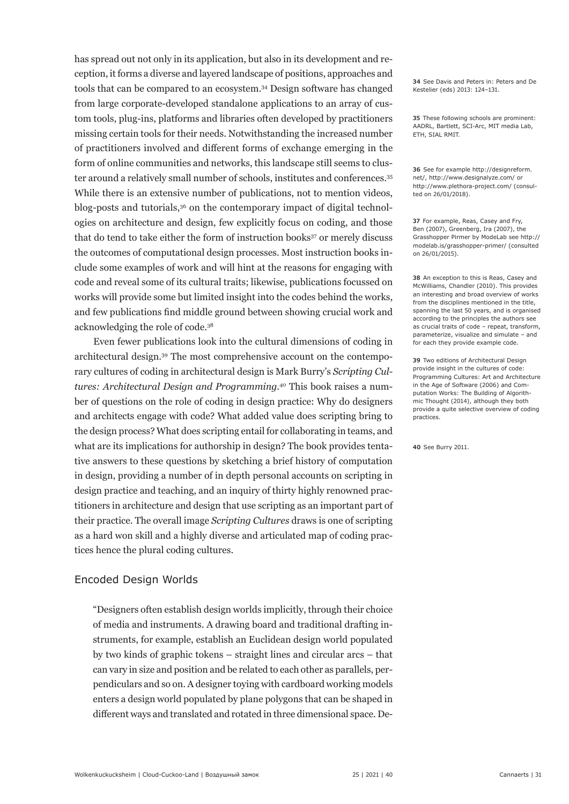has spread out not only in its application, but also in its development and reception, it forms a diverse and layered landscape of positions, approaches and tools that can be compared to an ecosystem.34 Design software has changed from large corporate-developed standalone applications to an array of custom tools, plug-ins, platforms and libraries often developed by practitioners missing certain tools for their needs. Notwithstanding the increased number of practitioners involved and different forms of exchange emerging in the form of online communities and networks, this landscape still seems to cluster around a relatively small number of schools, institutes and conferences.<sup>35</sup> While there is an extensive number of publications, not to mention videos, blog-posts and tutorials,<sup>36</sup> on the contemporary impact of digital technologies on architecture and design, few explicitly focus on coding, and those that do tend to take either the form of instruction books<sup>37</sup> or merely discuss the outcomes of computational design processes. Most instruction books include some examples of work and will hint at the reasons for engaging with code and reveal some of its cultural traits; likewise, publications focussed on works will provide some but limited insight into the codes behind the works, and few publications find middle ground between showing crucial work and acknowledging the role of code.38

Even fewer publications look into the cultural dimensions of coding in architectural design.39 The most comprehensive account on the contemporary cultures of coding in architectural design is Mark Burry's *Scripting Cultures: Architectural Design and Programming*. 40 This book raises a number of questions on the role of coding in design practice: Why do designers and architects engage with code? What added value does scripting bring to the design process? What does scripting entail for collaborating in teams, and what are its implications for authorship in design? The book provides tentative answers to these questions by sketching a brief history of computation in design, providing a number of in depth personal accounts on scripting in design practice and teaching, and an inquiry of thirty highly renowned practitioners in architecture and design that use scripting as an important part of their practice. The overall image *Scripting Cultures* draws is one of scripting as a hard won skill and a highly diverse and articulated map of coding practices hence the plural coding cultures.

#### Encoded Design Worlds

 "Designers often establish design worlds implicitly, through their choice of media and instruments. A drawing board and traditional drafting instruments, for example, establish an Euclidean design world populated by two kinds of graphic tokens – straight lines and circular arcs – that can vary in size and position and be related to each other as parallels, perpendiculars and so on. A designer toying with cardboard working models enters a design world populated by plane polygons that can be shaped in different ways and translated and rotated in three dimensional space. De**34** See Davis and Peters in: Peters and De Kestelier (eds) 2013: 124–131.

**35** These following schools are prominent: AADRL, Bartlett, SCI-Arc, MIT media Lab, ETH, SIAL RMIT.

**36** See for example http://designreform. net/, http://www.designalyze.com/ or http://www.plethora-project.com/ (consulted on 26/01/2018).

**37** For example, Reas, Casey and Fry, Ben (2007), Greenberg, Ira (2007), the Grasshopper Pirmer by ModeLab see http:// modelab.is/grasshopper-primer/ (consulted on 26/01/2015).

**38** An exception to this is Reas, Casey and McWilliams, Chandler (2010). This provides an interesting and broad overview of works from the disciplines mentioned in the title, spanning the last 50 years, and is organised according to the principles the authors see as crucial traits of code – repeat, transform, parameterize, visualize and simulate – and for each they provide example code.

**39** Two editions of Architectural Design provide insight in the cultures of code: Programming Cultures: Art and Architecture in the Age of Software (2006) and Computation Works: The Building of Algorithmic Thought (2014), although they both provide a quite selective overview of coding practices.

**40** See Burry 2011.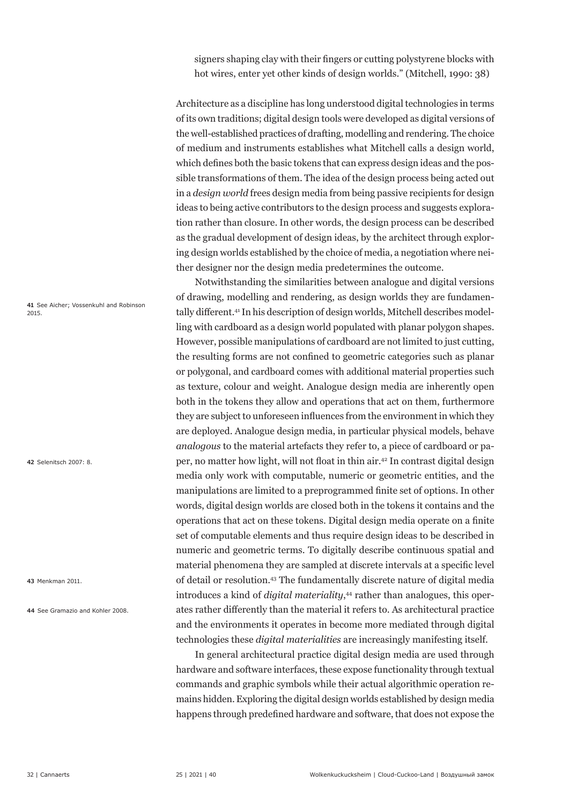signers shaping clay with their fingers or cutting polystyrene blocks with hot wires, enter yet other kinds of design worlds." (Mitchell, 1990: 38)

Architecture as a discipline has long understood digital technologies in terms of its own traditions; digital design tools were developed as digital versions of the well-established practices of drafting, modelling and rendering. The choice of medium and instruments establishes what Mitchell calls a design world, which defines both the basic tokens that can express design ideas and the possible transformations of them. The idea of the design process being acted out in a *design world* frees design media from being passive recipients for design ideas to being active contributors to the design process and suggests exploration rather than closure. In other words, the design process can be described as the gradual development of design ideas, by the architect through exploring design worlds established by the choice of media, a negotiation where neither designer nor the design media predetermines the outcome.

Notwithstanding the similarities between analogue and digital versions of drawing, modelling and rendering, as design worlds they are fundamentally different.<sup>41</sup> In his description of design worlds, Mitchell describes modelling with cardboard as a design world populated with planar polygon shapes. However, possible manipulations of cardboard are not limited to just cutting, the resulting forms are not confined to geometric categories such as planar or polygonal, and cardboard comes with additional material properties such as texture, colour and weight. Analogue design media are inherently open both in the tokens they allow and operations that act on them, furthermore they are subject to unforeseen influences from the environment in which they are deployed. Analogue design media, in particular physical models, behave *analogous* to the material artefacts they refer to, a piece of cardboard or paper, no matter how light, will not float in thin air.<sup>42</sup> In contrast digital design media only work with computable, numeric or geometric entities, and the manipulations are limited to a preprogrammed finite set of options. In other words, digital design worlds are closed both in the tokens it contains and the operations that act on these tokens. Digital design media operate on a finite set of computable elements and thus require design ideas to be described in numeric and geometric terms. To digitally describe continuous spatial and material phenomena they are sampled at discrete intervals at a specific level of detail or resolution.43 The fundamentally discrete nature of digital media introduces a kind of *digital materiality*, 44 rather than analogues, this operates rather differently than the material it refers to. As architectural practice and the environments it operates in become more mediated through digital technologies these *digital materialities* are increasingly manifesting itself.

In general architectural practice digital design media are used through hardware and software interfaces, these expose functionality through textual commands and graphic symbols while their actual algorithmic operation remains hidden. Exploring the digital design worlds established by design media happens through predefined hardware and software, that does not expose the

**41** See Aicher; Vossenkuhl and Robinson 2015.

**42** Selenitsch 2007: 8.

**43** Menkman 2011.

**44** See Gramazio and Kohler 2008.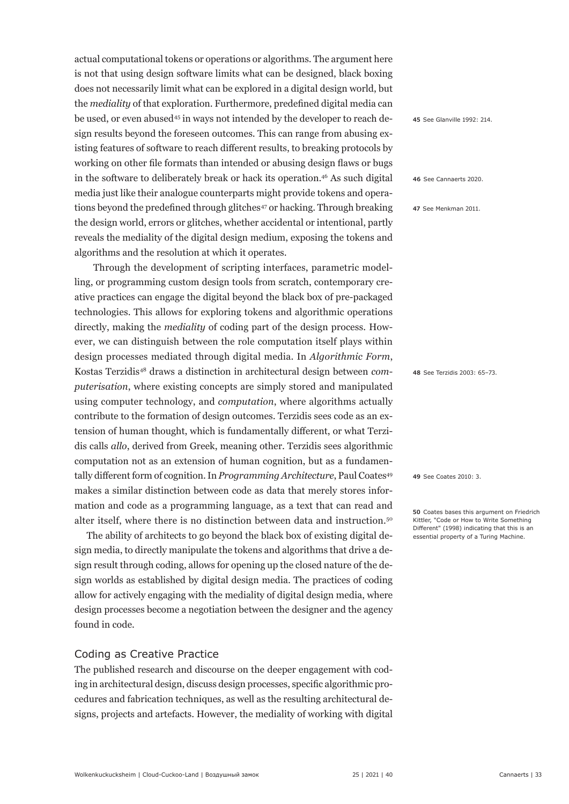actual computational tokens or operations or algorithms. The argument here is not that using design software limits what can be designed, black boxing does not necessarily limit what can be explored in a digital design world, but the *mediality* of that exploration. Furthermore, predefined digital media can be used, or even abused<sup>45</sup> in ways not intended by the developer to reach design results beyond the foreseen outcomes. This can range from abusing existing features of software to reach different results, to breaking protocols by working on other file formats than intended or abusing design flaws or bugs in the software to deliberately break or hack its operation.46 As such digital media just like their analogue counterparts might provide tokens and operations beyond the predefined through glitches<sup>47</sup> or hacking. Through breaking the design world, errors or glitches, whether accidental or intentional, partly reveals the mediality of the digital design medium, exposing the tokens and algorithms and the resolution at which it operates.

Through the development of scripting interfaces, parametric modelling, or programming custom design tools from scratch, contemporary creative practices can engage the digital beyond the black box of pre-packaged technologies. This allows for exploring tokens and algorithmic operations directly, making the *mediality* of coding part of the design process. However, we can distinguish between the role computation itself plays within design processes mediated through digital media. In *Algorithmic Form*, Kostas Terzidis48 draws a distinction in architectural design between *computerisation*, where existing concepts are simply stored and manipulated using computer technology, and *computation*, where algorithms actually contribute to the formation of design outcomes. Terzidis sees code as an extension of human thought, which is fundamentally different, or what Terzidis calls *allo*, derived from Greek, meaning other. Terzidis sees algorithmic computation not as an extension of human cognition, but as a fundamentally different form of cognition. In *Programming Architecture*, Paul Coates<sup>49</sup> makes a similar distinction between code as data that merely stores information and code as a programming language, as a text that can read and alter itself, where there is no distinction between data and instruction.50

 The ability of architects to go beyond the black box of existing digital design media, to directly manipulate the tokens and algorithms that drive a design result through coding, allows for opening up the closed nature of the design worlds as established by digital design media. The practices of coding allow for actively engaging with the mediality of digital design media, where design processes become a negotiation between the designer and the agency found in code.

# Coding as Creative Practice

The published research and discourse on the deeper engagement with coding in architectural design, discuss design processes, specific algorithmic procedures and fabrication techniques, as well as the resulting architectural designs, projects and artefacts. However, the mediality of working with digital **45** See Glanville 1992: 214.

**46** See Cannaerts 2020.

**47** See Menkman 2011.

**48** See Terzidis 2003: 65–73.

**49** See Coates 2010: 3.

**50** Coates bases this argument on Friedrich Kittler, "Code or How to Write Something Different" (1998) indicating that this is an essential property of a Turing Machine.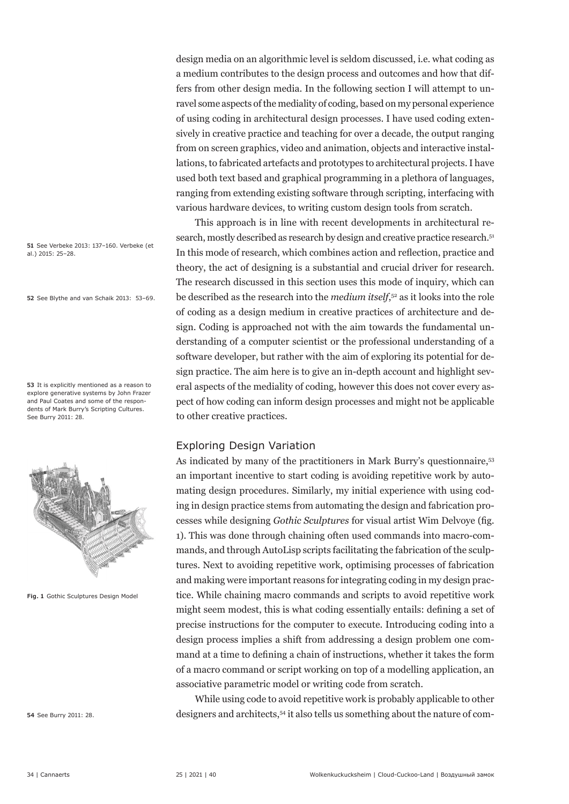design media on an algorithmic level is seldom discussed, i.e. what coding as a medium contributes to the design process and outcomes and how that differs from other design media. In the following section I will attempt to unravel some aspects of the mediality of coding, based on my personal experience of using coding in architectural design processes. I have used coding extensively in creative practice and teaching for over a decade, the output ranging from on screen graphics, video and animation, objects and interactive installations, to fabricated artefacts and prototypes to architectural projects. I have used both text based and graphical programming in a plethora of languages, ranging from extending existing software through scripting, interfacing with various hardware devices, to writing custom design tools from scratch.

This approach is in line with recent developments in architectural research, mostly described as research by design and creative practice research.<sup>51</sup> In this mode of research, which combines action and reflection, practice and theory, the act of designing is a substantial and crucial driver for research. The research discussed in this section uses this mode of inquiry, which can be described as the research into the *medium itself*, 52 as it looks into the role of coding as a design medium in creative practices of architecture and design. Coding is approached not with the aim towards the fundamental understanding of a computer scientist or the professional understanding of a software developer, but rather with the aim of exploring its potential for design practice. The aim here is to give an in-depth account and highlight several aspects of the mediality of coding, however this does not cover every aspect of how coding can inform design processes and might not be applicable to other creative practices.

#### Exploring Design Variation

As indicated by many of the practitioners in Mark Burry's questionnaire,<sup>53</sup> an important incentive to start coding is avoiding repetitive work by automating design procedures. Similarly, my initial experience with using coding in design practice stems from automating the design and fabrication processes while designing *Gothic Sculptures* for visual artist Wim Delvoye (fig. 1). This was done through chaining often used commands into macro-commands, and through AutoLisp scripts facilitating the fabrication of the sculptures. Next to avoiding repetitive work, optimising processes of fabrication and making were important reasons for integrating coding in my design practice. While chaining macro commands and scripts to avoid repetitive work might seem modest, this is what coding essentially entails: defining a set of precise instructions for the computer to execute. Introducing coding into a design process implies a shift from addressing a design problem one command at a time to defining a chain of instructions, whether it takes the form of a macro command or script working on top of a modelling application, an associative parametric model or writing code from scratch.

While using code to avoid repetitive work is probably applicable to other designers and architects,<sup>54</sup> it also tells us something about the nature of com-

**51** See Verbeke 2013: 137–160. Verbeke (et al.) 2015: 25–28.

**52** See Blythe and van Schaik 2013: 53–69.

**53** It is explicitly mentioned as a reason to explore generative systems by John Frazer and Paul Coates and some of the respondents of Mark Burry's Scripting Cultures. See Burry 2011: 28.



**Fig. 1** Gothic Sculptures Design Model

**54** See Burry 2011: 28.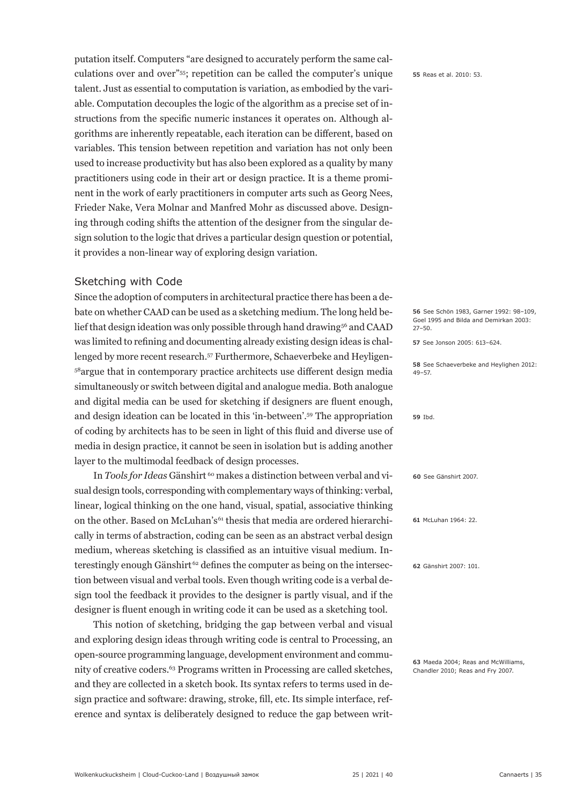putation itself. Computers "are designed to accurately perform the same calculations over and over"55; repetition can be called the computer's unique talent. Just as essential to computation is variation, as embodied by the variable. Computation decouples the logic of the algorithm as a precise set of instructions from the specific numeric instances it operates on. Although algorithms are inherently repeatable, each iteration can be different, based on variables. This tension between repetition and variation has not only been used to increase productivity but has also been explored as a quality by many practitioners using code in their art or design practice. It is a theme prominent in the work of early practitioners in computer arts such as Georg Nees, Frieder Nake, Vera Molnar and Manfred Mohr as discussed above. Designing through coding shifts the attention of the designer from the singular design solution to the logic that drives a particular design question or potential, it provides a non-linear way of exploring design variation.

## Sketching with Code

Since the adoption of computers in architectural practice there has been a debate on whether CAAD can be used as a sketching medium. The long held belief that design ideation was only possible through hand drawing<sup>56</sup> and CAAD was limited to refining and documenting already existing design ideas is challenged by more recent research.57 Furthermore, Schaeverbeke and Heyligen-<sup>58</sup>argue that in contemporary practice architects use different design media simultaneously or switch between digital and analogue media. Both analogue and digital media can be used for sketching if designers are fluent enough, and design ideation can be located in this 'in-between'.59 The appropriation of coding by architects has to be seen in light of this fluid and diverse use of media in design practice, it cannot be seen in isolation but is adding another layer to the multimodal feedback of design processes.

In *Tools for Ideas* Gänshirt<sup>60</sup> makes a distinction between verbal and visual design tools, corresponding with complementary ways of thinking: verbal, linear, logical thinking on the one hand, visual, spatial, associative thinking on the other. Based on McLuhan's<sup>61</sup> thesis that media are ordered hierarchically in terms of abstraction, coding can be seen as an abstract verbal design medium, whereas sketching is classified as an intuitive visual medium. Interestingly enough Gänshirt 62 defines the computer as being on the intersection between visual and verbal tools. Even though writing code is a verbal design tool the feedback it provides to the designer is partly visual, and if the designer is fluent enough in writing code it can be used as a sketching tool.

This notion of sketching, bridging the gap between verbal and visual and exploring design ideas through writing code is central to Processing, an open-source programming language, development environment and community of creative coders.<sup>63</sup> Programs written in Processing are called sketches, and they are collected in a sketch book. Its syntax refers to terms used in design practice and software: drawing, stroke, fill, etc. Its simple interface, reference and syntax is deliberately designed to reduce the gap between writ**55** Reas et al. 2010: 53.

**56** See Schön 1983, Garner 1992: 98–109, Goel 1995 and Bilda and Demirkan 2003: 27–50.

**57** See Jonson 2005: 613–624.

**58** See Schaeverbeke and Heylighen 2012: 49–57.

**59** Ibd.

**60** See Gänshirt 2007.

**61** McLuhan 1964: 22.

**62** Gänshirt 2007: 101.

**63** Maeda 2004; Reas and McWilliams, Chandler 2010; Reas and Fry 2007.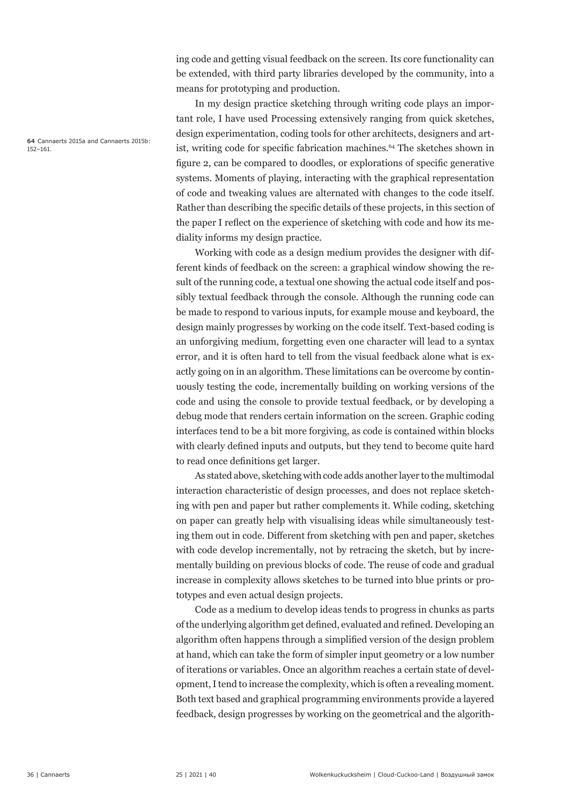ing code and getting visual feedback on the screen. Its core functionality can be extended, with third party libraries developed by the community, into a means for prototyping and production.

In my design practice sketching through writing code plays an important role, I have used Processing extensively ranging from quick sketches, design experimentation, coding tools for other architects, designers and artist, writing code for specific fabrication machines.<sup>64</sup> The sketches shown in figure 2, can be compared to doodles, or explorations of specific generative systems. Moments of playing, interacting with the graphical representation of code and tweaking values are alternated with changes to the code itself. Rather than describing the specific details of these projects, in this section of the paper I reflect on the experience of sketching with code and how its mediality informs my design practice.

Working with code as a design medium provides the designer with different kinds of feedback on the screen: a graphical window showing the result of the running code, a textual one showing the actual code itself and possibly textual feedback through the console. Although the running code can be made to respond to various inputs, for example mouse and keyboard, the design mainly progresses by working on the code itself. Text-based coding is an unforgiving medium, forgetting even one character will lead to a syntax error, and it is often hard to tell from the visual feedback alone what is exactly going on in an algorithm. These limitations can be overcome by continuously testing the code, incrementally building on working versions of the code and using the console to provide textual feedback, or by developing a debug mode that renders certain information on the screen. Graphic coding interfaces tend to be a bit more forgiving, as code is contained within blocks with clearly defined inputs and outputs, but they tend to become quite hard to read once definitions get larger.

As stated above, sketching with code adds another layer to the multimodal interaction characteristic of design processes, and does not replace sketching with pen and paper but rather complements it. While coding, sketching on paper can greatly help with visualising ideas while simultaneously testing them out in code. Different from sketching with pen and paper, sketches with code develop incrementally, not by retracing the sketch, but by incrementally building on previous blocks of code. The reuse of code and gradual increase in complexity allows sketches to be turned into blue prints or prototypes and even actual design projects.

Code as a medium to develop ideas tends to progress in chunks as parts of the underlying algorithm get defined, evaluated and refined. Developing an algorithm often happens through a simplified version of the design problem at hand, which can take the form of simpler input geometry or a low number of iterations or variables. Once an algorithm reaches a certain state of development, I tend to increase the complexity, which is often a revealing moment. Both text based and graphical programming environments provide a layered feedback, design progresses by working on the geometrical and the algorith-

**64** Cannaerts 2015a and Cannaerts 2015b: 152–161.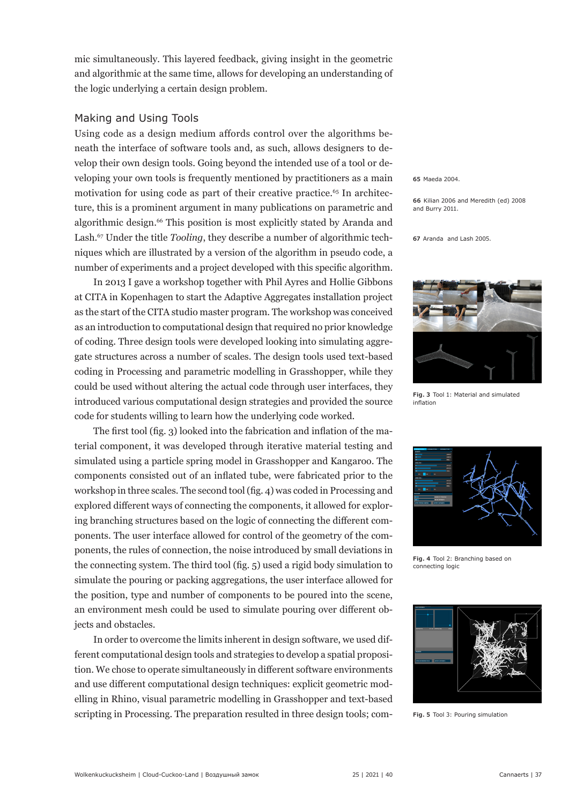mic simultaneously. This layered feedback, giving insight in the geometric and algorithmic at the same time, allows for developing an understanding of the logic underlying a certain design problem.

#### Making and Using Tools

Using code as a design medium affords control over the algorithms beneath the interface of software tools and, as such, allows designers to develop their own design tools. Going beyond the intended use of a tool or developing your own tools is frequently mentioned by practitioners as a main motivation for using code as part of their creative practice.<sup>65</sup> In architecture, this is a prominent argument in many publications on parametric and algorithmic design.<sup>66</sup> This position is most explicitly stated by Aranda and Lash.67 Under the title *Tooling*, they describe a number of algorithmic techniques which are illustrated by a version of the algorithm in pseudo code, a number of experiments and a project developed with this specific algorithm.

In 2013 I gave a workshop together with Phil Ayres and Hollie Gibbons at CITA in Kopenhagen to start the Adaptive Aggregates installation project as the start of the CITA studio master program. The workshop was conceived as an introduction to computational design that required no prior knowledge of coding. Three design tools were developed looking into simulating aggregate structures across a number of scales. The design tools used text-based coding in Processing and parametric modelling in Grasshopper, while they could be used without altering the actual code through user interfaces, they introduced various computational design strategies and provided the source code for students willing to learn how the underlying code worked.

The first tool (fig. 3) looked into the fabrication and inflation of the material component, it was developed through iterative material testing and simulated using a particle spring model in Grasshopper and Kangaroo. The components consisted out of an inflated tube, were fabricated prior to the workshop in three scales. The second tool (fig. 4) was coded in Processing and explored different ways of connecting the components, it allowed for exploring branching structures based on the logic of connecting the different components. The user interface allowed for control of the geometry of the components, the rules of connection, the noise introduced by small deviations in the connecting system. The third tool (fig. 5) used a rigid body simulation to simulate the pouring or packing aggregations, the user interface allowed for the position, type and number of components to be poured into the scene, an environment mesh could be used to simulate pouring over different objects and obstacles.

In order to overcome the limits inherent in design software, we used different computational design tools and strategies to develop a spatial proposition. We chose to operate simultaneously in different software environments and use different computational design techniques: explicit geometric modelling in Rhino, visual parametric modelling in Grasshopper and text-based scripting in Processing. The preparation resulted in three design tools; com**65** Maeda 2004.

**66** Kilian 2006 and Meredith (ed) 2008 and Burry 2011.

**67** Aranda and Lash 2005.



**Fig. 3** Tool 1: Material and simulated inflation



**Fig. 4** Tool 2: Branching based on connecting logic



**Fig. 5** Tool 3: Pouring simulation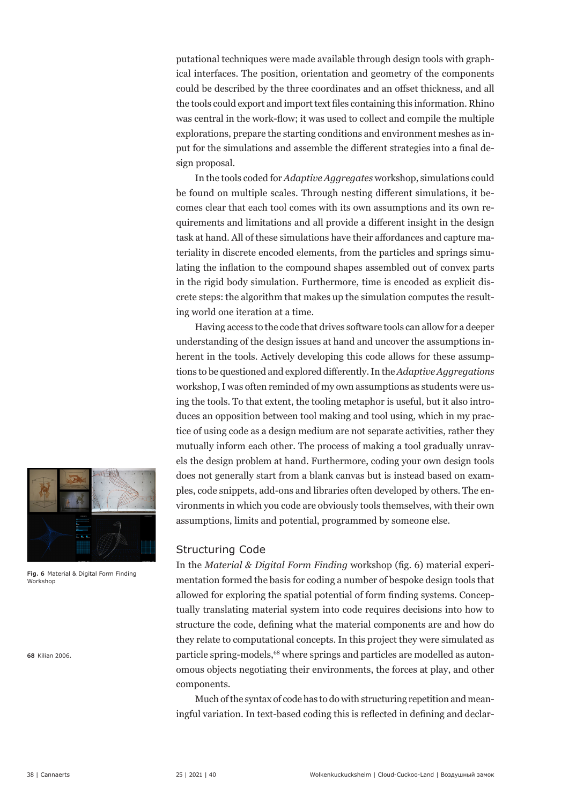putational techniques were made available through design tools with graphical interfaces. The position, orientation and geometry of the components could be described by the three coordinates and an offset thickness, and all the tools could export and import text files containing this information. Rhino was central in the work-flow; it was used to collect and compile the multiple explorations, prepare the starting conditions and environment meshes as input for the simulations and assemble the different strategies into a final design proposal.

In the tools coded for *Adaptive Aggregates* workshop, simulations could be found on multiple scales. Through nesting different simulations, it becomes clear that each tool comes with its own assumptions and its own requirements and limitations and all provide a different insight in the design task at hand. All of these simulations have their affordances and capture materiality in discrete encoded elements, from the particles and springs simulating the inflation to the compound shapes assembled out of convex parts in the rigid body simulation. Furthermore, time is encoded as explicit discrete steps: the algorithm that makes up the simulation computes the resulting world one iteration at a time.

Having access to the code that drives software tools can allow for a deeper understanding of the design issues at hand and uncover the assumptions inherent in the tools. Actively developing this code allows for these assumptions to be questioned and explored differently. In the *Adaptive Aggregations* workshop, I was often reminded of my own assumptions as students were using the tools. To that extent, the tooling metaphor is useful, but it also introduces an opposition between tool making and tool using, which in my practice of using code as a design medium are not separate activities, rather they mutually inform each other. The process of making a tool gradually unravels the design problem at hand. Furthermore, coding your own design tools does not generally start from a blank canvas but is instead based on examples, code snippets, add-ons and libraries often developed by others. The environments in which you code are obviously tools themselves, with their own assumptions, limits and potential, programmed by someone else.

# Structuring Code

In the *Material & Digital Form Finding* workshop (fig. 6) material experimentation formed the basis for coding a number of bespoke design tools that allowed for exploring the spatial potential of form finding systems. Conceptually translating material system into code requires decisions into how to structure the code, defining what the material components are and how do they relate to computational concepts. In this project they were simulated as particle spring-models,<sup>68</sup> where springs and particles are modelled as autonomous objects negotiating their environments, the forces at play, and other components.

Much of the syntax of code has to do with structuring repetition and meaningful variation. In text-based coding this is reflected in defining and declar-



**Fig. 6**  Material & Digital Form Finding Workshop

**68** Kilian 2006.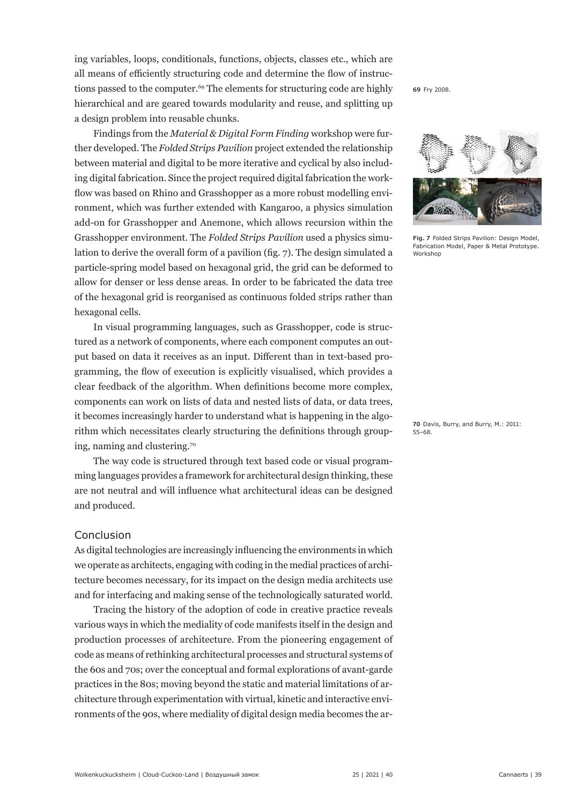ing variables, loops, conditionals, functions, objects, classes etc., which are all means of efficiently structuring code and determine the flow of instructions passed to the computer.<sup>69</sup> The elements for structuring code are highly hierarchical and are geared towards modularity and reuse, and splitting up a design problem into reusable chunks.

Findings from the *Material & Digital Form Finding* workshop were further developed. The *Folded Strips Pavilion* project extended the relationship between material and digital to be more iterative and cyclical by also including digital fabrication. Since the project required digital fabrication the workflow was based on Rhino and Grasshopper as a more robust modelling environment, which was further extended with Kangaroo, a physics simulation add-on for Grasshopper and Anemone, which allows recursion within the Grasshopper environment. The *Folded Strips Pavilion* used a physics simulation to derive the overall form of a pavilion (fig. 7). The design simulated a particle-spring model based on hexagonal grid, the grid can be deformed to allow for denser or less dense areas. In order to be fabricated the data tree of the hexagonal grid is reorganised as continuous folded strips rather than hexagonal cells.

In visual programming languages, such as Grasshopper, code is structured as a network of components, where each component computes an output based on data it receives as an input. Different than in text-based programming, the flow of execution is explicitly visualised, which provides a clear feedback of the algorithm. When definitions become more complex, components can work on lists of data and nested lists of data, or data trees, it becomes increasingly harder to understand what is happening in the algorithm which necessitates clearly structuring the definitions through grouping, naming and clustering.70

The way code is structured through text based code or visual programming languages provides a framework for architectural design thinking, these are not neutral and will influence what architectural ideas can be designed and produced.

#### Conclusion

As digital technologies are increasingly influencing the environments in which we operate as architects, engaging with coding in the medial practices of architecture becomes necessary, for its impact on the design media architects use and for interfacing and making sense of the technologically saturated world.

Tracing the history of the adoption of code in creative practice reveals various ways in which the mediality of code manifests itself in the design and production processes of architecture. From the pioneering engagement of code as means of rethinking architectural processes and structural systems of the 60s and 70s; over the conceptual and formal explorations of avant-garde practices in the 80s; moving beyond the static and material limitations of architecture through experimentation with virtual, kinetic and interactive environments of the 90s, where mediality of digital design media becomes the ar**69** Fry 2008.



**Fig. 7**  Folded Strips Pavilion: Design Model, Fabrication Model, Paper & Metal Prototype. Workshop

**70** Davis, Burry, and Burry, M.: 2011: 55–68.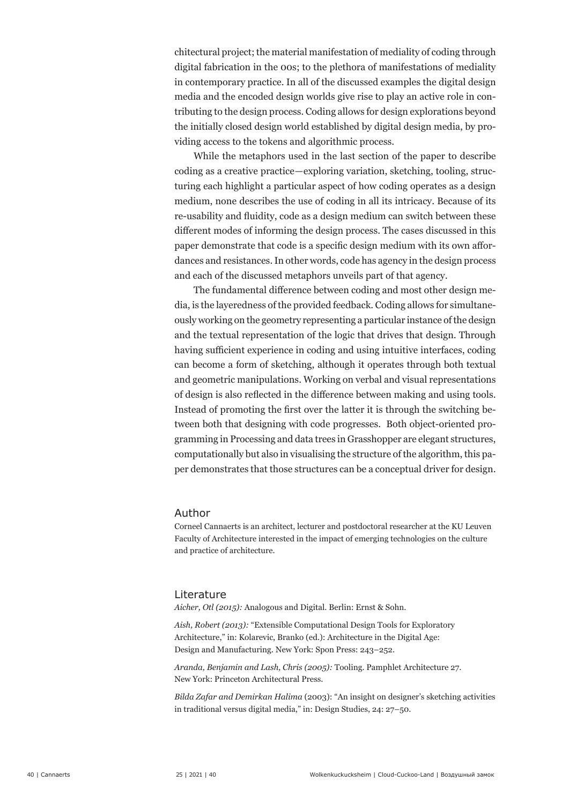chitectural project; the material manifestation of mediality of coding through digital fabrication in the 00s; to the plethora of manifestations of mediality in contemporary practice. In all of the discussed examples the digital design media and the encoded design worlds give rise to play an active role in contributing to the design process. Coding allows for design explorations beyond the initially closed design world established by digital design media, by providing access to the tokens and algorithmic process.

While the metaphors used in the last section of the paper to describe coding as a creative practice—exploring variation, sketching, tooling, structuring each highlight a particular aspect of how coding operates as a design medium, none describes the use of coding in all its intricacy. Because of its re-usability and fluidity, code as a design medium can switch between these different modes of informing the design process. The cases discussed in this paper demonstrate that code is a specific design medium with its own affordances and resistances. In other words, code has agency in the design process and each of the discussed metaphors unveils part of that agency.

The fundamental difference between coding and most other design media, is the layeredness of the provided feedback. Coding allows for simultaneously working on the geometry representing a particular instance of the design and the textual representation of the logic that drives that design. Through having sufficient experience in coding and using intuitive interfaces, coding can become a form of sketching, although it operates through both textual and geometric manipulations. Working on verbal and visual representations of design is also reflected in the difference between making and using tools. Instead of promoting the first over the latter it is through the switching between both that designing with code progresses. Both object-oriented programming in Processing and data trees in Grasshopper are elegant structures, computationally but also in visualising the structure of the algorithm, this paper demonstrates that those structures can be a conceptual driver for design.

#### Author

Corneel Cannaerts is an architect, lecturer and postdoctoral researcher at the KU Leuven Faculty of Architecture interested in the impact of emerging technologies on the culture and practice of architecture.

#### Literature

*Aicher, Otl (2015):* Analogous and Digital. Berlin: Ernst & Sohn.

*Aish, Robert (2013):* "Extensible Computational Design Tools for Exploratory Architecture," in: Kolarevic, Branko (ed.): Architecture in the Digital Age: Design and Manufacturing. New York: Spon Press: 243–252.

*Aranda, Benjamin and Lash, Chris (2005):* Tooling. Pamphlet Architecture 27. New York: Princeton Architectural Press.

*Bilda Zafar and Demirkan Halima* (2003): "An insight on designer's sketching activities in traditional versus digital media," in: Design Studies, 24: 27–50.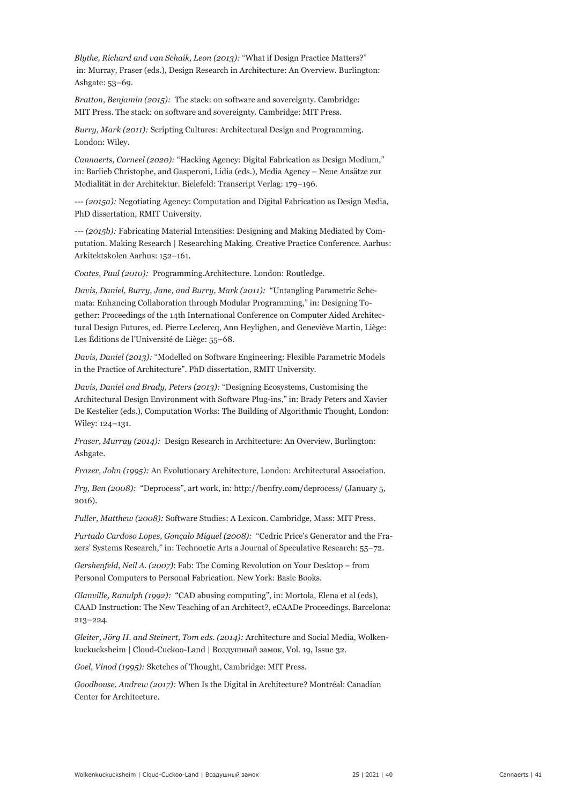*Blythe, Richard and van Schaik, Leon (2013):* "What if Design Practice Matters?" in: Murray, Fraser (eds.), Design Research in Architecture: An Overview. Burlington: Ashgate: 53–69.

*Bratton, Benjamin (2015):* The stack: on software and sovereignty. Cambridge: MIT Press. The stack: on software and sovereignty. Cambridge: MIT Press.

*Burry, Mark (2011):* Scripting Cultures: Architectural Design and Programming. London: Wiley.

*Cannaerts, Corneel (2020):* "Hacking Agency: Digital Fabrication as Design Medium," in: Barlieb Christophe, and Gasperoni, Lidia (eds.), Media Agency – Neue Ansätze zur Medialität in der Architektur. Bielefeld: Transcript Verlag: 179–196.

*--- (2015a):* Negotiating Agency: Computation and Digital Fabrication as Design Media, PhD dissertation, RMIT University.

*--- (2015b):* Fabricating Material Intensities: Designing and Making Mediated by Computation. Making Research | Researching Making. Creative Practice Conference. Aarhus: Arkitektskolen Aarhus: 152–161.

*Coates, Paul (2010):* Programming.Architecture. London: Routledge.

*Davis, Daniel, Burry, Jane, and Burry, Mark (2011):* "Untangling Parametric Schemata: Enhancing Collaboration through Modular Programming," in: Designing Together: Proceedings of the 14th International Conference on Computer Aided Architectural Design Futures, ed. Pierre Leclercq, Ann Heylighen, and Geneviève Martin, Liège: Les Éditions de l'Université de Liège: 55–68.

*Davis, Daniel (2013):* "Modelled on Software Engineering: Flexible Parametric Models in the Practice of Architecture". PhD dissertation, RMIT University.

*Davis, Daniel and Brady, Peters (2013):* "Designing Ecosystems, Customising the Architectural Design Environment with Software Plug-ins," in: Brady Peters and Xavier De Kestelier (eds.), Computation Works: The Building of Algorithmic Thought, London: Wiley: 124–131.

*Fraser, Murray (2014):* Design Research in Architecture: An Overview, Burlington: Ashgate.

*Frazer, John (1995):* An Evolutionary Architecture, London: Architectural Association.

*Fry, Ben (2008):* "Deprocess", art work, in: http://benfry.com/deprocess/ (January 5, 2016).

*Fuller, Matthew (2008):* Software Studies: A Lexicon. Cambridge, Mass: MIT Press.

*Furtado Cardoso Lopes, Gonçalo Miguel (2008):* "Cedric Price's Generator and the Frazers' Systems Research," in: Technoetic Arts a Journal of Speculative Research: 55–72.

*Gershenfeld, Neil A. (2007)*: Fab: The Coming Revolution on Your Desktop – from Personal Computers to Personal Fabrication. New York: Basic Books.

*Glanville, Ranulph (1992):* "CAD abusing computing", in: Mortola, Elena et al (eds), CAAD Instruction: The New Teaching of an Architect?, eCAADe Proceedings. Barcelona: 213–224.

*Gleiter, Jörg H. and Steinert, Tom eds. (2014):* Architecture and Social Media, Wolkenkuckucksheim | Cloud-Cuckoo-Land | Воздушный замок, Vol. 19, Issue 32.

*Goel, Vinod (1995):* Sketches of Thought, Cambridge: MIT Press.

*Goodhouse, Andrew (2017):* When Is the Digital in Architecture? Montréal: Canadian Center for Architecture.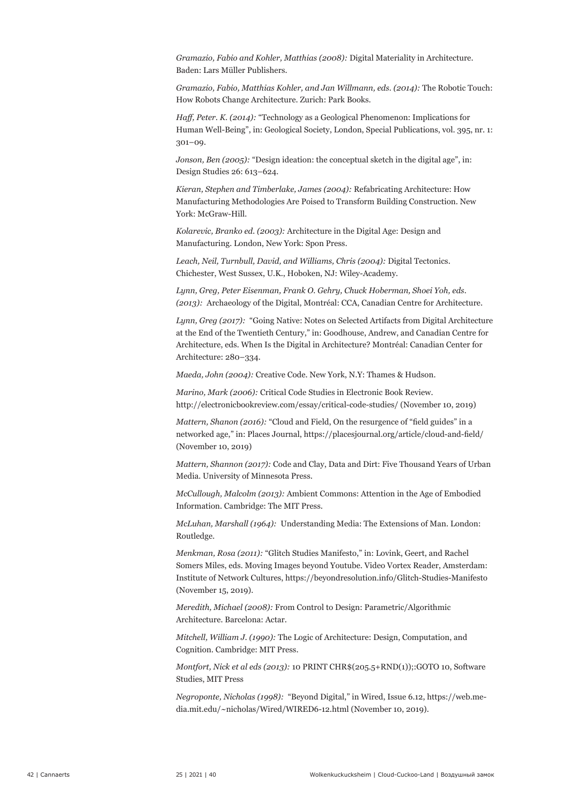*Gramazio, Fabio and Kohler, Matthias (2008):* Digital Materiality in Architecture. Baden: Lars Müller Publishers.

*Gramazio, Fabio, Matthias Kohler, and Jan Willmann, eds. (2014):* The Robotic Touch: How Robots Change Architecture. Zurich: Park Books.

*Haff, Peter. K. (2014):* "Technology as a Geological Phenomenon: Implications for Human Well-Being", in: Geological Society, London, Special Publications, vol. 395, nr. 1: 301–09.

*Jonson, Ben (2005):* "Design ideation: the conceptual sketch in the digital age", in: Design Studies 26: 613–624.

*Kieran, Stephen and Timberlake, James (2004):* Refabricating Architecture: How Manufacturing Methodologies Are Poised to Transform Building Construction. New York: McGraw-Hill.

*Kolarevic, Branko ed. (2003):* Architecture in the Digital Age: Design and Manufacturing. London, New York: Spon Press.

*Leach, Neil, Turnbull, David, and Williams, Chris (2004):* Digital Tectonics. Chichester, West Sussex, U.K., Hoboken, NJ: Wiley-Academy.

*Lynn, Greg, Peter Eisenman, Frank O. Gehry, Chuck Hoberman, Shoei Yoh, eds. (2013):* Archaeology of the Digital, Montréal: CCA, Canadian Centre for Architecture.

*Lynn, Greg (2017):* "Going Native: Notes on Selected Artifacts from Digital Architecture at the End of the Twentieth Century," in: Goodhouse, Andrew, and Canadian Centre for Architecture, eds. When Is the Digital in Architecture? Montréal: Canadian Center for Architecture: 280–334.

*Maeda, John (2004):* Creative Code. New York, N.Y: Thames & Hudson.

*Marino, Mark (2006):* Critical Code Studies in Electronic Book Review. http://electronicbookreview.com/essay/critical-code-studies/ (November 10, 2019)

*Mattern, Shanon (2016):* "Cloud and Field, On the resurgence of "field guides" in a networked age," in: Places Journal, https://placesjournal.org/article/cloud-and-field/ (November 10, 2019)

*Mattern, Shannon (2017):* Code and Clay, Data and Dirt: Five Thousand Years of Urban Media. University of Minnesota Press.

*McCullough, Malcolm (2013):* Ambient Commons: Attention in the Age of Embodied Information. Cambridge: The MIT Press.

*McLuhan, Marshall (1964):* Understanding Media: The Extensions of Man. London: Routledge.

*Menkman, Rosa (2011):* "Glitch Studies Manifesto," in: Lovink, Geert, and Rachel Somers Miles, eds. Moving Images beyond Youtube. Video Vortex Reader, Amsterdam: Institute of Network Cultures, https://beyondresolution.info/Glitch-Studies-Manifesto (November 15, 2019).

*Meredith, Michael (2008):* From Control to Design: Parametric/Algorithmic Architecture. Barcelona: Actar.

*Mitchell, William J. (1990):* The Logic of Architecture: Design, Computation, and Cognition. Cambridge: MIT Press.

*Montfort, Nick et al eds (2013):* 10 PRINT CHR\$(205.5+RND(1));:GOTO 10, Software Studies, MIT Press

*Negroponte, Nicholas (1998):* "Beyond Digital," in Wired, Issue 6.12, https://web.media.mit.edu/~nicholas/Wired/WIRED6-12.html (November 10, 2019).